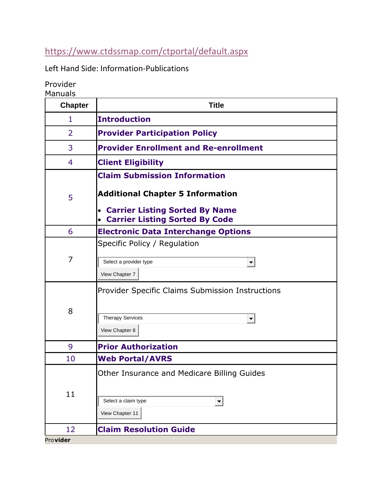## <https://www.ctdssmap.com/ctportal/default.aspx>

Left Hand Side: Information-Publications

Provider Manuals

| <b>Chapter</b> | <b>Title</b>                                                                                                              |
|----------------|---------------------------------------------------------------------------------------------------------------------------|
| 1              | <b>Introduction</b>                                                                                                       |
| $\overline{2}$ | <b>Provider Participation Policy</b>                                                                                      |
| 3              | <b>Provider Enrollment and Re-enrollment</b>                                                                              |
| 4              | <b>Client Eligibility</b>                                                                                                 |
|                | <b>Claim Submission Information</b>                                                                                       |
| 5              | <b>Additional Chapter 5 Information</b><br><b>Carrier Listing Sorted By Name</b><br><b>Carrier Listing Sorted By Code</b> |
| 6              | <b>Electronic Data Interchange Options</b>                                                                                |
| 7              | Specific Policy / Regulation<br>Select a provider type<br>$\blacktriangledown$                                            |
|                | View Chapter 7                                                                                                            |
| 8              | Provider Specific Claims Submission Instructions<br><b>Therapy Services</b><br>$\blacktriangledown$<br>View Chapter 8     |
| 9              | <b>Prior Authorization</b>                                                                                                |
| 10             | <b>Web Portal/AVRS</b>                                                                                                    |
| 11             | Other Insurance and Medicare Billing Guides<br>Select a claim type<br>$\blacktriangledown$<br>View Chapter 11             |
| 12             | <b>Claim Resolution Guide</b>                                                                                             |
| Provider       |                                                                                                                           |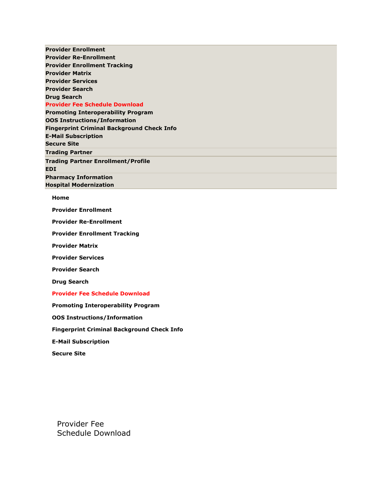• **Provider [Enrollment](https://www.ctdssmap.com/CTPortal/Provider/Provider%20Enrollment/tabId/47/Default.aspx)** • **Provider [Re-Enrollment](https://www.ctdssmap.com/CTPortal/Provider/Provider%20Re-Enrollment/tabId/48/Default.aspx)** • **Provider [Enrollment](https://www.ctdssmap.com/CTPortal/Provider/Provider%20Enrollment%20Tracking/tabId/49/Default.aspx) Tracking** • **[Provider](https://www.ctdssmap.com/CTPortal/Provider/Provider%20Matrix/tabId/50/Default.aspx) Matrix** • **[Provider](https://www.ctdssmap.com/CTPortal/Provider/Provider%20Services/tabId/51/Default.aspx) Services** • **[Provider](https://www.ctdssmap.com/CTPortal/Provider/Provider%20Search/tabId/52/Default.aspx) Search** • **Drug [Search](https://www.ctdssmap.com/CTPortal/Provider/Drug%20Search/tabId/53/Default.aspx)** • **Provider Fee Schedule [Download](https://www.ctdssmap.com/CTPortal/Provider/Provider%20Fee%20Schedule%20Download/tabId/54/Default.aspx)** • **Promoting [Interoperability](https://www.ctdssmap.com/CTPortal/Provider/Promoting%20Interoperability%20Program/tabId/55/Default.aspx) Program** • **OOS [Instructions/Information](https://www.ctdssmap.com/CTPortal/Provider/OOS%20Instructions/Information/tabId/138/Default.aspx)** • **Fingerprint Criminal [Background](https://www.ctdssmap.com/CTPortal/Provider/Fingerprint%20Criminal%20Background%20Check%20Info/tabId/149/Default.aspx) Check Info** • **E-Mail [Subscription](https://www.ctdssmap.com/CTPortal/Provider/E-Mail%20Subscription/tabId/146/Default.aspx)** • **[Secure](https://www.ctdssmap.com/CTPortal/Provider/Secure%20Site/tabId/56/Default.aspx) Site** ▪ **[Trading](https://www.ctdssmap.com/CTPortal/Trading%20Partner/tabId/59/Default.aspx) Partner** • **Trading Partner [Enrollment/Profile](https://www.ctdssmap.com/CTPortal/Trading%20Partner/Trading%20Partner%20Enrollment/Profile/tabId/60/Default.aspx)** • **[EDI](https://www.ctdssmap.com/CTPortal/Trading%20Partner/EDI/tabId/61/Default.aspx) Pharmacy [Information](https://www.ctdssmap.com/CTPortal/Pharmacy%20Information/tabId/65/Default.aspx)** ▪ **Hospital [Modernization](https://www.ctdssmap.com/CTPortal/Hospital%20Modernization/tabId/143/Default.aspx)**

## ▪ **[Home](https://www.ctdssmap.com/CTPortal/)**

▪ **[Provider Enrollment](https://www.ctdssmap.com/CTPortal/Provider/Provider%20Enrollment/tabId/47/Default.aspx)**

**[Provider Re-Enrollment](https://www.ctdssmap.com/CTPortal/Provider/Provider%20Re-Enrollment/tabId/48/Default.aspx)** 

**[Provider Enrollment Tracking](https://www.ctdssmap.com/CTPortal/Provider/Provider%20Enrollment%20Tracking/tabId/49/Default.aspx)** 

**[Provider Matrix](https://www.ctdssmap.com/CTPortal/Provider/Provider%20Matrix/tabId/50/Default.aspx)** 

▪ **[Provider Services](https://www.ctdssmap.com/CTPortal/Provider/Provider%20Services/tabId/51/Default.aspx)**

**[Provider Search](https://www.ctdssmap.com/CTPortal/Provider/Provider%20Search/tabId/52/Default.aspx)** 

**[Drug Search](https://www.ctdssmap.com/CTPortal/Provider/Drug%20Search/tabId/53/Default.aspx)** 

## **[Provider Fee Schedule Download](https://www.ctdssmap.com/CTPortal/Provider/Provider%20Fee%20Schedule%20Download/tabId/54/Default.aspx)**

▪ **[Promoting Interoperability Program](https://www.ctdssmap.com/CTPortal/Provider/Promoting%20Interoperability%20Program/tabId/55/Default.aspx)**

**00S Instructions/Information** 

**[Fingerprint Criminal Background Check Info](https://www.ctdssmap.com/CTPortal/Provider/Fingerprint%20Criminal%20Background%20Check%20Info/tabId/149/Default.aspx)** 

▪ **[E-Mail Subscription](https://www.ctdssmap.com/CTPortal/Provider/E-Mail%20Subscription/tabId/146/Default.aspx)**

**[Secure Site](https://www.ctdssmap.com/CTPortal/Provider/Secure%20Site/tabId/56/Default.aspx)** 

Provider Fee Schedule Download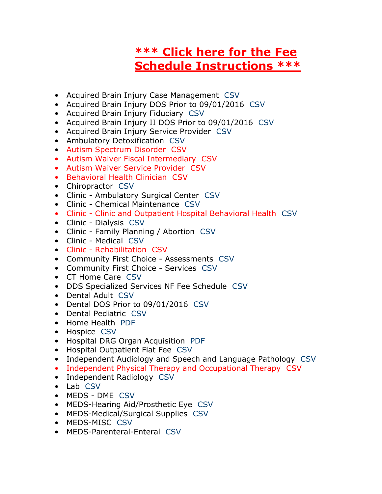## **[\\*\\*\\* Click here for the Fee](https://www.ctdssmap.com/CTPortal/Portals/0/StaticContent/Publications/Fee_Schedule_Instructions.pdf)  [Schedule Instructions \\*\\*\\*](https://www.ctdssmap.com/CTPortal/Portals/0/StaticContent/Publications/Fee_Schedule_Instructions.pdf)**

- Acquired Brain Injury Case Management [CSV](javascript:__doPostBack()
- Acquired Brain Injury DOS Prior to 09/01/2016 [CSV](javascript:__doPostBack()
- Acquired Brain Injury Fiduciary [CSV](javascript:__doPostBack()
- Acquired Brain Injury II DOS Prior to 09/01/2016 [CSV](javascript:__doPostBack()
- Acquired Brain Injury Service Provider [CSV](javascript:__doPostBack()
- Ambulatory Detoxification [CSV](javascript:__doPostBack()
- Autism Spectrum Disorder [CSV](javascript:__doPostBack()
- Autism Waiver Fiscal Intermediary [CSV](javascript:__doPostBack()
- Autism Waiver Service Provider [CSV](javascript:__doPostBack()
- Behavioral Health Clinician [CSV](javascript:__doPostBack()
- Chiropractor [CSV](javascript:__doPostBack()
- Clinic Ambulatory Surgical Center [CSV](javascript:__doPostBack()
- Clinic Chemical Maintenance [CSV](javascript:__doPostBack()
- Clinic Clinic and Outpatient Hospital Behavioral Health [CSV](javascript:__doPostBack()
- Clinic Dialysis [CSV](javascript:__doPostBack()
- Clinic Family Planning / Abortion [CSV](javascript:__doPostBack()
- Clinic Medical [CSV](javascript:__doPostBack()
- Clinic Rehabilitation [CSV](javascript:__doPostBack()
- Community First Choice Assessments [CSV](javascript:__doPostBack()
- Community First Choice Services [CSV](javascript:__doPostBack()
- CT Home Care [CSV](javascript:__doPostBack()
- DDS Specialized Services NF Fee Schedule [CSV](javascript:__doPostBack()
- Dental Adult [CSV](javascript:__doPostBack()
- Dental DOS Prior to 09/01/2016 [CSV](javascript:__doPostBack()
- Dental Pediatric [CSV](javascript:__doPostBack()
- Home Health [PDF](javascript:__doPostBack()
- Hospice [CSV](javascript:__doPostBack()
- Hospital DRG Organ Acquisition [PDF](javascript:__doPostBack()
- Hospital Outpatient Flat Fee [CSV](javascript:__doPostBack()
- Independent Audiology and Speech and Language Pathology [CSV](javascript:__doPostBack()
- Independent Physical Therapy and Occupational Therapy [CSV](javascript:__doPostBack()
- Independent Radiology [CSV](javascript:__doPostBack()
- Lab [CSV](javascript:__doPostBack()
- MEDS DME [CSV](javascript:__doPostBack()
- MEDS-Hearing Aid/Prosthetic Eye [CSV](javascript:__doPostBack()
- MEDS-Medical/Surgical Supplies [CSV](javascript:__doPostBack()
- MEDS-MISC [CSV](javascript:__doPostBack()
- MEDS-Parenteral-Enteral [CSV](javascript:__doPostBack()